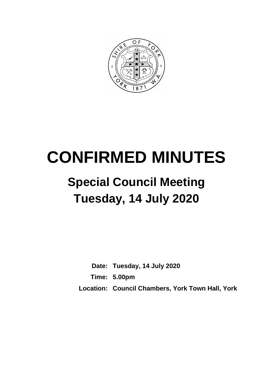

# **CONFIRMED MINUTES**

## **Special Council Meeting Tuesday, 14 July 2020**

**Date: Tuesday, 14 July 2020 Time: 5.00pm Location: Council Chambers, York Town Hall, York**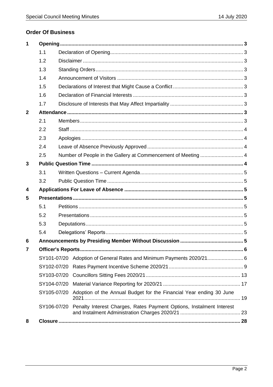#### **Order Of Business**

| $\mathbf 1$             |             |  |                                                                                  |  |
|-------------------------|-------------|--|----------------------------------------------------------------------------------|--|
|                         | 1.1<br>1.2  |  |                                                                                  |  |
|                         |             |  |                                                                                  |  |
|                         | 1.3         |  |                                                                                  |  |
|                         | 1.4         |  |                                                                                  |  |
|                         | 1.5         |  |                                                                                  |  |
|                         | 1.6         |  |                                                                                  |  |
|                         | 1.7         |  |                                                                                  |  |
| $\mathbf{2}$            |             |  |                                                                                  |  |
|                         | 2.1         |  |                                                                                  |  |
|                         | 2.2         |  |                                                                                  |  |
|                         | 2.3         |  |                                                                                  |  |
|                         | 2.4         |  |                                                                                  |  |
|                         | 2.5         |  | Number of People in the Gallery at Commencement of Meeting  4                    |  |
| 3                       |             |  |                                                                                  |  |
|                         | 3.1         |  |                                                                                  |  |
|                         | 3.2         |  |                                                                                  |  |
| $\overline{\mathbf{4}}$ |             |  |                                                                                  |  |
| 5                       |             |  |                                                                                  |  |
|                         | 5.1         |  |                                                                                  |  |
|                         | 5.2         |  |                                                                                  |  |
|                         | 5.3         |  |                                                                                  |  |
|                         | 5.4         |  |                                                                                  |  |
| 6                       |             |  |                                                                                  |  |
| 7                       |             |  |                                                                                  |  |
|                         | SY101-07/20 |  | Adoption of General Rates and Minimum Payments 2020/21 6                         |  |
|                         | SY102-07/20 |  |                                                                                  |  |
|                         | SY103-07/20 |  |                                                                                  |  |
|                         | SY104-07/20 |  |                                                                                  |  |
|                         |             |  | SY105-07/20 Adoption of the Annual Budget for the Financial Year ending 30 June  |  |
|                         |             |  | SY106-07/20 Penalty Interest Charges, Rates Payment Options, Instalment Interest |  |
| 8                       |             |  |                                                                                  |  |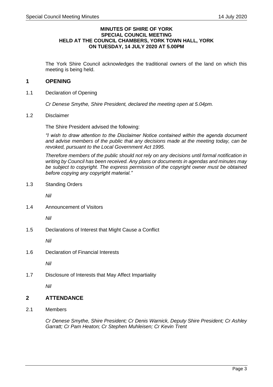#### **MINUTES OF SHIRE OF YORK SPECIAL COUNCIL MEETING HELD AT THE COUNCIL CHAMBERS, YORK TOWN HALL, YORK ON TUESDAY, 14 JULY 2020 AT 5.00PM**

The York Shire Council acknowledges the traditional owners of the land on which this meeting is being held.

#### <span id="page-2-0"></span>**1 OPENING**

<span id="page-2-1"></span>1.1 Declaration of Opening

*Cr Denese Smythe, Shire President, declared the meeting open at 5.04pm.*

<span id="page-2-2"></span>1.2 Disclaimer

The Shire President advised the following:

*"I wish to draw attention to the Disclaimer Notice contained within the agenda document and advise members of the public that any decisions made at the meeting today, can be revoked, pursuant to the Local Government Act 1995.*

*Therefore members of the public should not rely on any decisions until formal notification in writing by Council has been received. Any plans or documents in agendas and minutes may be subject to copyright. The express permission of the copyright owner must be obtained before copying any copyright material."*

<span id="page-2-3"></span>1.3 Standing Orders

*Nil* 

<span id="page-2-4"></span>1.4 Announcement of Visitors

*Nil*

<span id="page-2-5"></span>1.5 Declarations of Interest that Might Cause a Conflict

*Nil*

<span id="page-2-6"></span>1.6 Declaration of Financial Interests

*Nil*

<span id="page-2-7"></span>1.7 Disclosure of Interests that May Affect Impartiality

*Nil*

#### <span id="page-2-8"></span>**2 ATTENDANCE**

<span id="page-2-9"></span>2.1 Members

*Cr Denese Smythe, Shire President; Cr Denis Warnick, Deputy Shire President; Cr Ashley Garratt; Cr Pam Heaton; Cr Stephen Muhleisen; Cr Kevin Trent*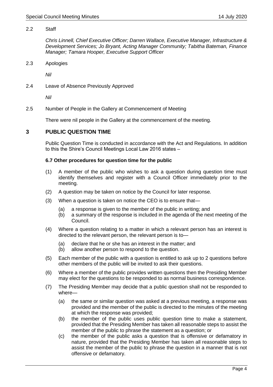#### <span id="page-3-0"></span>2.2 Staff

*Chris Linnell, Chief Executive Officer; Darren Wallace, Executive Manager, Infrastructure & Development Services; Jo Bryant, Acting Manager Community; Tabitha Bateman, Finance Manager; Tamara Hooper, Executive Support Officer* 

<span id="page-3-1"></span>2.3 Apologies

*Nil*

<span id="page-3-2"></span>2.4 Leave of Absence Previously Approved

*Nil*

<span id="page-3-3"></span>2.5 Number of People in the Gallery at Commencement of Meeting

There were nil people in the Gallery at the commencement of the meeting.

#### <span id="page-3-4"></span>**3 PUBLIC QUESTION TIME**

Public Question Time is conducted in accordance with the Act and Regulations. In addition to this the Shire's Council Meetings Local Law 2016 states –

#### **6.7 Other procedures for question time for the public**

- (1) A member of the public who wishes to ask a question during question time must identify themselves and register with a Council Officer immediately prior to the meeting.
- (2) A question may be taken on notice by the Council for later response.
- (3) When a question is taken on notice the CEO is to ensure that—
	- (a) a response is given to the member of the public in writing; and
	- (b) a summary of the response is included in the agenda of the next meeting of the Council.
- (4) Where a question relating to a matter in which a relevant person has an interest is directed to the relevant person, the relevant person is to—
	- (a) declare that he or she has an interest in the matter; and
	- (b) allow another person to respond to the question.
- (5) Each member of the public with a question is entitled to ask up to 2 questions before other members of the public will be invited to ask their questions.
- (6) Where a member of the public provides written questions then the Presiding Member may elect for the questions to be responded to as normal business correspondence.
- (7) The Presiding Member may decide that a public question shall not be responded to where—
	- (a) the same or similar question was asked at a previous meeting, a response was provided and the member of the public is directed to the minutes of the meeting at which the response was provided;
	- (b) the member of the public uses public question time to make a statement, provided that the Presiding Member has taken all reasonable steps to assist the member of the public to phrase the statement as a question; or
	- (c) the member of the public asks a question that is offensive or defamatory in nature, provided that the Presiding Member has taken all reasonable steps to assist the member of the public to phrase the question in a manner that is not offensive or defamatory.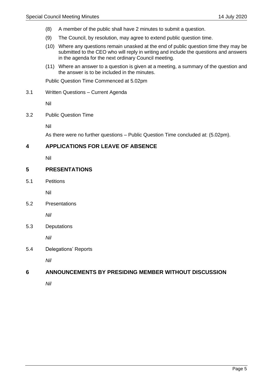- (8) A member of the public shall have 2 minutes to submit a question.
- (9) The Council, by resolution, may agree to extend public question time.
- (10) Where any questions remain unasked at the end of public question time they may be submitted to the CEO who will reply in writing and include the questions and answers in the agenda for the next ordinary Council meeting.
- (11) Where an answer to a question is given at a meeting, a summary of the question and the answer is to be included in the minutes.

Public Question Time Commenced at 5.02pm

<span id="page-4-0"></span>3.1 Written Questions – Current Agenda

Nil

<span id="page-4-1"></span>3.2 Public Question Time

Nil

As there were no further questions – Public Question Time concluded at: (5.02pm).

#### <span id="page-4-2"></span>**4 APPLICATIONS FOR LEAVE OF ABSENCE**

Nil

#### <span id="page-4-3"></span>**5 PRESENTATIONS**

<span id="page-4-4"></span>5.1 Petitions

Nil

<span id="page-4-5"></span>5.2 Presentations

*Nil*

<span id="page-4-6"></span>5.3 Deputations

*Nil*

<span id="page-4-7"></span>5.4 Delegations' Reports

*Nil*

#### <span id="page-4-8"></span>**6 ANNOUNCEMENTS BY PRESIDING MEMBER WITHOUT DISCUSSION**

*Nil*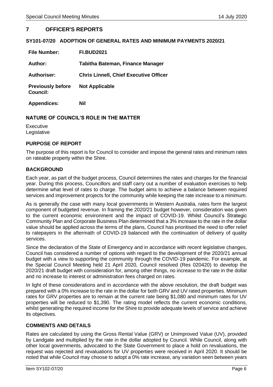#### <span id="page-5-0"></span>**7 OFFICER'S REPORTS**

#### <span id="page-5-1"></span>**SY101-07/20 ADOPTION OF GENERAL RATES AND MINIMUM PAYMENTS 2020/21**

| <b>File Number:</b>                         | <b>FI.BUD2021</b>                             |
|---------------------------------------------|-----------------------------------------------|
| Author:                                     | Tabitha Bateman, Finance Manager              |
| <b>Authoriser:</b>                          | <b>Chris Linnell, Chief Executive Officer</b> |
| <b>Previously before</b><br><b>Council:</b> | <b>Not Applicable</b>                         |
| <b>Appendices:</b>                          | Nil                                           |

#### **NATURE OF COUNCIL'S ROLE IN THE MATTER**

Executive Legislative

#### **PURPOSE OF REPORT**

The purpose of this report is for Council to consider and impose the general rates and minimum rates on rateable property within the Shire.

#### **BACKGROUND**

Each year, as part of the budget process, Council determines the rates and charges for the financial year. During this process, Councillors and staff carry out a number of evaluation exercises to help determine what level of rates to charge. The budget aims to achieve a balance between required services and improvement projects for the community while keeping the rate increase to a minimum.

As is generally the case with many local governments in Western Australia, rates form the largest component of budgeted revenue. In framing the 2020/21 budget however, consideration was given to the current economic environment and the impact of COVID-19. Whilst Council's Strategic Community Plan and Corporate Business Plan determined that a 3% increase to the rate in the dollar value should be applied across the terms of the plans, Council has prioritised the need to offer relief to ratepayers in the aftermath of COVID-19 balanced with the continuation of delivery of quality services.

Since the declaration of the State of Emergency and in accordance with recent legislative changes, Council has considered a number of options with regard to the development of the 2020/21 annual budget with a view to supporting the community through the COVID-19 pandemic. For example, at the Special Council Meeting held 21 April 2020, Council resolved (Res 020420) to develop the 2020/21 draft budget with consideration for, among other things, no increase to the rate in the dollar and no increase to interest or administration fees charged on rates.

In light of these considerations and in accordance with the above resolution, the draft budget was prepared with a 0% increase to the rate in the dollar for both GRV and UV rated properties. Minimum rates for GRV properties are to remain at the current rate being \$1,080 and minimum rates for UV properties will be reduced to \$1,390. The rating model reflects the current economic conditions, whilst generating the required income for the Shire to provide adequate levels of service and achieve its objectives.

#### **COMMENTS AND DETAILS**

Rates are calculated by using the Gross Rental Value (GRV) or Unimproved Value (UV), provided by Landgate and multiplied by the rate in the dollar adopted by Council. While Council, along with other local governments, advocated to the State Government to place a hold on revaluations, the request was rejected and revaluations for UV properties were received in April 2020. It should be noted that while Council may choose to adopt a 0% rate increase, any variation seen between years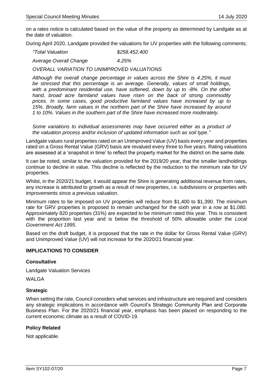on a rates notice is calculated based on the value of the property as determined by Landgate as at the date of valuation.

During April 2020, Landgate provided the valuations for UV properties with the following comments;

| "Total Valuation       | \$258,452,400 |
|------------------------|---------------|
| Average Overall Change | 4.25%         |

*OVERALL VARIATION TO UNIMPROVED VALUATIONS*

*Although the overall change percentage in values across the Shire is 4.25%, it must be stressed that this percentage is an average. Generally, values of small holdings, with a predominant residential use, have softened, down by up to -8%. On the other hand, broad acre farmland values have risen on the back of strong commodity prices. In some cases, good productive farmland values have increased by up to 15%. Broadly, farm values in the northern part of the Shire have increased by around 1 to 10%. Values in the southern part of the Shire have increased more moderately.*

*Some variations to individual assessments may have occurred either as a product of the valuation process and/or inclusion of updated information such as soil type."*

Landgate values rural properties rated on an Unimproved Value (UV) basis every year and properties rated on a Gross Rental Value (GRV) basis are revalued every three to five years. Rating valuations are assessed at a 'snapshot in time' to reflect the property market for the district on the same date.

It can be noted, similar to the valuation provided for the 2019/20 year, that the smaller landholdings continue to decline in value. This decline is reflected by the reduction to the minimum rate for UV properties.

Whilst, in the 2020/21 budget, it would appear the Shire is generating additional revenue from rates, any increase is attributed to growth as a result of new properties, i.e. subdivisions or properties with improvements since a previous valuation.

Minimum rates to be imposed on UV properties will reduce from \$1,400 to \$1,390. The minimum rate for GRV properties is proposed to remain unchanged for the sixth year in a row at \$1,080. Approximately 820 properties (31%) are expected to be minimum rated this year. This is consistent with the proportion last year and is below the threshold of 50% allowable under the *Local Government Act 1995*.

Based on the draft budget, it is proposed that the rate in the dollar for Gross Rental Value (GRV) and Unimproved Value (UV) will not increase for the 2020/21 financial year.

#### **IMPLICATIONS TO CONSIDER**

#### **Consultative**

Landgate Valuation Services

WAI GA

#### **Strategic**

When setting the rate, Council considers what services and infrastructure are required and considers any strategic implications in accordance with Council's Strategic Community Plan and Corporate Business Plan. For the 2020/21 financial year, emphasis has been placed on responding to the current economic climate as a result of COVID-19.

#### **Policy Related**

Not applicable.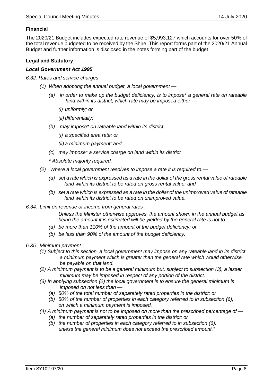#### **Financial**

The 2020/21 Budget includes expected rate revenue of \$5,993,127 which accounts for over 50% of the total revenue budgeted to be received by the Shire. This report forms part of the 2020/21 Annual Budget and further information is disclosed in the notes forming part of the budget.

#### **Legal and Statutory**

#### *Local Government Act 1995*

*6.32. Rates and service charges*

- *(1) When adopting the annual budget, a local government —*
	- *(a) in order to make up the budget deficiency, is to impose\* a general rate on rateable land within its district, which rate may be imposed either —*
		- *(i) uniformly; or*
		- *(ii) differentially;*
	- *(b) may impose\* on rateable land within its district*
		- *(i) a specified area rate; or*
		- *(ii) a minimum payment; and*
	- *(c) may impose\* a service charge on land within its district.*

*\* Absolute majority required.*

- *(2) Where a local government resolves to impose a rate it is required to —*
	- *(a) set a rate which is expressed as a rate in the dollar of the gross rental value of rateable land within its district to be rated on gross rental value; and*
	- *(b) set a rate which is expressed as a rate in the dollar of the unimproved value of rateable land within its district to be rated on unimproved value.*
- *6.34. Limit on revenue or income from general rates*

*Unless the Minister otherwise approves, the amount shown in the annual budget as being the amount it is estimated will be yielded by the general rate is not to —*

- *(a) be more than 110% of the amount of the budget deficiency; or*
- *(b) be less than 90% of the amount of the budget deficiency.*
- *6.35. Minimum payment*
	- *(1) Subject to this section, a local government may impose on any rateable land in its district a minimum payment which is greater than the general rate which would otherwise be payable on that land.*
	- *(2) A minimum payment is to be a general minimum but, subject to subsection (3), a lesser minimum may be imposed in respect of any portion of the district.*
	- *(3) In applying subsection (2) the local government is to ensure the general minimum is imposed on not less than —*
		- *(a) 50% of the total number of separately rated properties in the district; or*
		- *(b) 50% of the number of properties in each category referred to in subsection (6), on which a minimum payment is imposed.*
	- *(4) A minimum payment is not to be imposed on more than the prescribed percentage of —*
		- *(a) the number of separately rated properties in the district; or*
		- *(b) the number of properties in each category referred to in subsection (6), unless the general minimum does not exceed the prescribed amount."*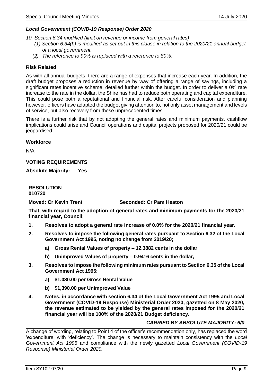#### *Local Government (COVID-19 Response) Order 2020*

*10. Section 6.34 modified (limit on revenue or income from general rates)*

- *(1) Section 6.34(b) is modified as set out in this clause in relation to the 2020/21 annual budget of a local government.*
- *(2) The reference to 90% is replaced with a reference to 80%.*

#### **Risk Related**

As with all annual budgets, there are a range of expenses that increase each year. In addition, the draft budget proposes a reduction in revenue by way of offering a range of savings, including a significant rates incentive scheme, detailed further within the budget. In order to deliver a 0% rate increase to the rate in the dollar, the Shire has had to reduce both operating and capital expenditure. This could pose both a reputational and financial risk. After careful consideration and planning however, officers have adapted the budget giving attention to, not only asset management and levels of service, but also recovery from these unprecedented times.

There is a further risk that by not adopting the general rates and minimum payments, cashflow implications could arise and Council operations and capital projects proposed for 2020/21 could be jeopardised.

#### **Workforce**

N/A

#### **VOTING REQUIREMENTS**

**Absolute Majority: Yes**

**RESOLUTION 010720 Moved: Cr Kevin Trent Seconded: Cr Pam Heaton That, with regard to the adoption of general rates and minimum payments for the 2020/21 financial year, Council; 1. Resolves to adopt a general rate increase of 0.0% for the 2020/21 financial year. 2. Resolves to impose the following general rates pursuant to Section 6.32 of the Local Government Act 1995, noting no change from 2019/20; a) Gross Rental Values of property – 12.3882 cents in the dollar b) Unimproved Values of property – 0.9416 cents in the dollar, 3. Resolves to impose the following minimum rates pursuant to Section 6.35 of the Local Government Act 1995: a) \$1,080.00 per Gross Rental Value b) \$1,390.00 per Unimproved Value 4. Notes, in accordance with section 6.34 of the Local Government Act 1995 and Local** 

**Government (COVID-19 Response) Ministerial Order 2020, gazetted on 8 May 2020, the revenue estimated to be yielded by the general rates imposed for the 2020/21 financial year will be 100% of the 2020/21 Budget deficiency.**

*CARRIED BY ABSOLUTE MAJORITY: 6/0*

<span id="page-8-0"></span>A change of wording, relating to Point 4 of the officer's recommendation only, has replaced the word 'expenditure' with 'deficiency'. The change is necessary to maintain consistency with the *Local Government Act 1995* and compliance with the newly gazetted *Local Government (COVID-19 Response) Ministerial Order 2020.*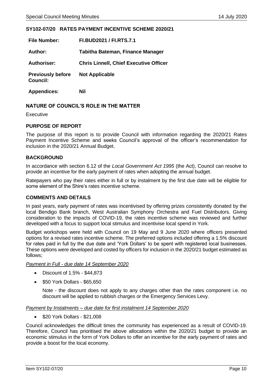#### **SY102-07/20 RATES PAYMENT INCENTIVE SCHEME 2020/21**

| <b>File Number:</b>                         | FI.BUD2021 / FI.RTS.7.1                       |
|---------------------------------------------|-----------------------------------------------|
| Author:                                     | Tabitha Bateman, Finance Manager              |
| <b>Authoriser:</b>                          | <b>Chris Linnell, Chief Executive Officer</b> |
| <b>Previously before</b><br><b>Council:</b> | <b>Not Applicable</b>                         |
| <b>Appendices:</b>                          | Nil                                           |

#### **NATURE OF COUNCIL'S ROLE IN THE MATTER**

Executive

#### **PURPOSE OF REPORT**

The purpose of this report is to provide Council with information regarding the 2020/21 Rates Payment Incentive Scheme and seeks Council's approval of the officer's recommendation for inclusion in the 2020/21 Annual Budget.

#### **BACKGROUND**

In accordance with section 6.12 of the *Local Government Act 1995* (the Act), Council can resolve to provide an incentive for the early payment of rates when adopting the annual budget.

Ratepayers who pay their rates either in full or by instalment by the first due date will be eligible for some element of the Shire's rates incentive scheme.

#### **COMMENTS AND DETAILS**

In past years, early payment of rates was incentivised by offering prizes consistently donated by the local Bendigo Bank branch, West Australian Symphony Orchestra and Fuel Distributors. Giving consideration to the impacts of COVID-19, the rates incentive scheme was reviewed and further developed with a focus to support local stimulus and incentivise local spend in York.

Budget workshops were held with Council on 19 May and 9 June 2020 where officers presented options for a revised rates incentive scheme. The preferred options included offering a 1.5% discount for rates paid in full by the due date and 'York Dollars' to be spent with registered local businesses. These options were developed and costed by officers for inclusion in the 2020/21 budget estimated as follows;

#### *Payment in Full - due date 14 September 2020*

- Discount of 1.5% \$44,873
- \$50 York Dollars \$65,650

Note - the discount does not apply to any charges other than the rates component i.e. no discount will be applied to rubbish charges or the Emergency Services Levy.

#### *Payment by Instalments – due date for first instalment 14 September 2020*

• \$20 York Dollars - \$21,008

Council acknowledges the difficult times the community has experienced as a result of COVID-19. Therefore, Council has prioritised the above allocations within the 2020/21 budget to provide an economic stimulus in the form of York Dollars to offer an incentive for the early payment of rates and provide a boost for the local economy.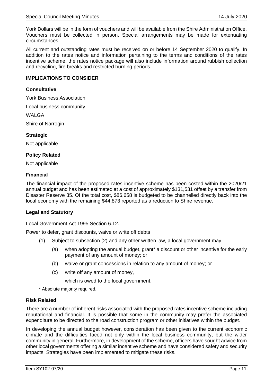York Dollars will be in the form of vouchers and will be available from the Shire Administration Office. Vouchers must be collected in person. Special arrangements may be made for extenuating circumstances.

All current and outstanding rates must be received on or before 14 September 2020 to qualify. In addition to the rates notice and information pertaining to the terms and conditions of the rates incentive scheme, the rates notice package will also include information around rubbish collection and recycling, fire breaks and restricted burning periods.

#### **IMPLICATIONS TO CONSIDER**

#### **Consultative**

York Business Association

Local business community

WAI GA

Shire of Narrogin

#### **Strategic**

Not applicable

#### **Policy Related**

Not applicable

#### **Financial**

The financial impact of the proposed rates incentive scheme has been costed within the 2020/21 annual budget and has been estimated at a cost of approximately \$131,531 offset by a transfer from Disaster Reserve 35. Of the total cost, \$86,658 is budgeted to be channelled directly back into the local economy with the remaining \$44,873 reported as a reduction to Shire revenue.

#### **Legal and Statutory**

Local Government Act 1995 Section 6.12.

Power to defer, grant discounts, waive or write off debts

- (1) Subject to subsection (2) and any other written law, a local government may
	- (a) when adopting the annual budget, grant\* a discount or other incentive for the early payment of any amount of money; or
	- (b) waive or grant concessions in relation to any amount of money; or
	- (c) write off any amount of money,

which is owed to the local government.

\* Absolute majority required.

#### **Risk Related**

There are a number of inherent risks associated with the proposed rates incentive scheme including reputational and financial. It is possible that some in the community may prefer the associated expenditure to be directed to the road construction program or other initiatives within the budget.

In developing the annual budget however, consideration has been given to the current economic climate and the difficulties faced not only within the local business community, but the wider community in general. Furthermore, in development of the scheme, officers have sought advice from other local governments offering a similar incentive scheme and have considered safety and security impacts. Strategies have been implemented to mitigate these risks.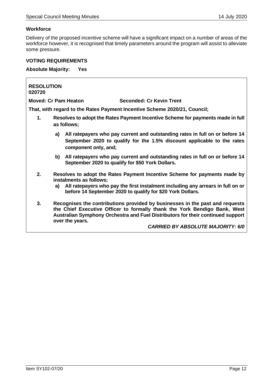٦

#### **Workforce**

 $\Gamma$ 

Delivery of the proposed incentive scheme will have a significant impact on a number of areas of the workforce however, it is recognised that timely parameters around the program will assist to alleviate some pressure.

#### **VOTING REQUIREMENTS**

**Absolute Majority: Yes**

| <b>RESOLUTION</b><br>020720                                                                         |                                                                                                                                                                                                                                                                 |  |  |  |
|-----------------------------------------------------------------------------------------------------|-----------------------------------------------------------------------------------------------------------------------------------------------------------------------------------------------------------------------------------------------------------------|--|--|--|
|                                                                                                     | <b>Moved: Cr Pam Heaton</b><br><b>Seconded: Cr Kevin Trent</b>                                                                                                                                                                                                  |  |  |  |
|                                                                                                     | That, with regard to the Rates Payment Incentive Scheme 2020/21, Council;                                                                                                                                                                                       |  |  |  |
| Resolves to adopt the Rates Payment Incentive Scheme for payments made in full<br>1.<br>as follows; |                                                                                                                                                                                                                                                                 |  |  |  |
|                                                                                                     | All ratepayers who pay current and outstanding rates in full on or before 14<br>a)<br>September 2020 to qualify for the 1.5% discount applicable to the rates<br>component only, and;                                                                           |  |  |  |
|                                                                                                     | b) All ratepayers who pay current and outstanding rates in full on or before 14<br>September 2020 to qualify for \$50 York Dollars.                                                                                                                             |  |  |  |
| 2.                                                                                                  | Resolves to adopt the Rates Payment Incentive Scheme for payments made by<br>instalments as follows;<br>All ratepayers who pay the first instalment including any arrears in full on or<br>a)<br>before 14 September 2020 to qualify for \$20 York Dollars.     |  |  |  |
| 3.                                                                                                  | Recognises the contributions provided by businesses in the past and requests<br>the Chief Executive Officer to formally thank the York Bendigo Bank, West<br>Australian Symphony Orchestra and Fuel Distributors for their continued support<br>over the years. |  |  |  |

*CARRIED BY ABSOLUTE MAJORITY: 6/0*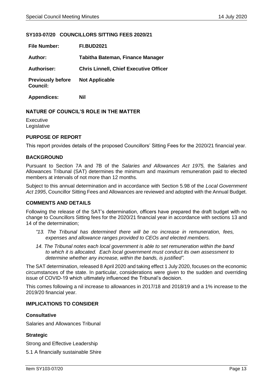#### <span id="page-12-0"></span>**SY103-07/20 COUNCILLORS SITTING FEES 2020/21**

| <b>File Number:</b>                         | <b>FI.BUD2021</b>                             |
|---------------------------------------------|-----------------------------------------------|
| Author:                                     | Tabitha Bateman, Finance Manager              |
| <b>Authoriser:</b>                          | <b>Chris Linnell, Chief Executive Officer</b> |
| <b>Previously before</b><br><b>Council:</b> | <b>Not Applicable</b>                         |
| <b>Appendices:</b>                          | Nil                                           |

#### **NATURE OF COUNCIL'S ROLE IN THE MATTER**

Executive Legislative

#### **PURPOSE OF REPORT**

This report provides details of the proposed Councillors' Sitting Fees for the 2020/21 financial year.

#### **BACKGROUND**

Pursuant to Section 7A and 7B of the *Salaries and Allowances Act 1975,* the Salaries and Allowances Tribunal (SAT) determines the minimum and maximum remuneration paid to elected members at intervals of not more than 12 months.

Subject to this annual determination and in accordance with Section 5.98 of the *Local Government Act 1995*, Councillor Sitting Fees and Allowances are reviewed and adopted with the Annual Budget.

#### **COMMENTS AND DETAILS**

Following the release of the SAT's determination, officers have prepared the draft budget with no change to Councillors Sitting fees for the 2020/21 financial year in accordance with sections 13 and 14 of the determination;

- *"13. The Tribunal has determined there will be no increase in remuneration, fees, expenses and allowance ranges provided to CEOs and elected members.*
- 14. The Tribunal notes each local government is able to set remuneration within the band *to which it is allocated. Each local government must conduct its own assessment to determine whether any increase, within the bands, is justified".*

The SAT determination, released 8 April 2020 and taking effect 1 July 2020, focuses on the economic circumstances of the state. In particular, considerations were given to the sudden and overriding issue of COVID-19 which ultimately influenced the Tribunal's decision.

This comes following a nil increase to allowances in 2017/18 and 2018/19 and a 1% increase to the 2019/20 financial year.

#### **IMPLICATIONS TO CONSIDER**

#### **Consultative**

Salaries and Allowances Tribunal

#### **Strategic**

Strong and Effective Leadership

5.1 A financially sustainable Shire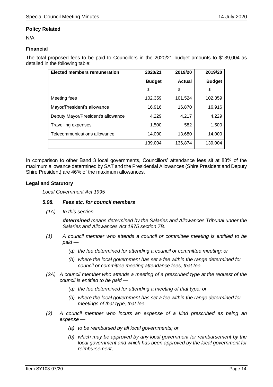#### **Policy Related**

N/A

#### **Financial**

The total proposed fees to be paid to Councillors in the 2020/21 budget amounts to \$139,004 as detailed in the following table:

| <b>Elected members remuneration</b> | 2020/21       | 2019/20       | 2019/20       |
|-------------------------------------|---------------|---------------|---------------|
|                                     | <b>Budget</b> | <b>Actual</b> | <b>Budget</b> |
|                                     | \$            | \$            | \$            |
| Meeting fees                        | 102,359       | 101,524       | 102,359       |
| Mayor/President's allowance         | 16,916        | 16,870        | 16,916        |
| Deputy Mayor/President's allowance  | 4,229         | 4,217         | 4,229         |
| <b>Travelling expenses</b>          | 1,500         | 582           | 1,500         |
| Telecommunications allowance        | 14,000        | 13.680        | 14,000        |
|                                     | 139,004       | 136,874       | 139,004       |

In comparison to other Band 3 local governments, Councillors' attendance fees sit at 83% of the maximum allowance determined by SAT and the Presidential Allowances (Shire President and Deputy Shire President) are 46% of the maximum allowances.

#### **Legal and Statutory**

*Local Government Act 1995*

#### *5.98. Fees etc. for council members*

*(1A) In this section —*

*determined means determined by the Salaries and Allowances Tribunal under the Salaries and Allowances Act 1975 section 7B.*

- *(1) A council member who attends a council or committee meeting is entitled to be paid —*
	- *(a) the fee determined for attending a council or committee meeting; or*
	- *(b) where the local government has set a fee within the range determined for council or committee meeting attendance fees, that fee.*
- *(2A) A council member who attends a meeting of a prescribed type at the request of the council is entitled to be paid —*
	- *(a) the fee determined for attending a meeting of that type; or*
	- *(b) where the local government has set a fee within the range determined for meetings of that type, that fee.*
- *(2) A council member who incurs an expense of a kind prescribed as being an expense —*
	- *(a) to be reimbursed by all local governments; or*
	- *(b) which may be approved by any local government for reimbursement by the local government and which has been approved by the local government for reimbursement,*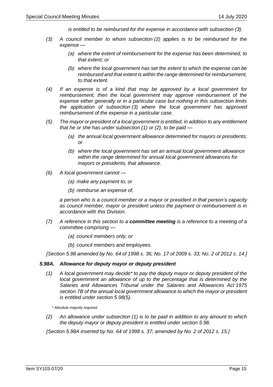*is entitled to be reimbursed for the expense in accordance with subsection (3).*

- *(3) A council member to whom subsection (2) applies is to be reimbursed for the expense —*
	- *(a) where the extent of reimbursement for the expense has been determined, to that extent; or*
	- *(b) where the local government has set the extent to which the expense can be reimbursed and that extent is within the range determined for reimbursement, to that extent.*
- *(4) If an expense is of a kind that may be approved by a local government for reimbursement, then the local government may approve reimbursement of the expense either generally or in a particular case but nothing in this subsection limits the application of subsection (3) where the local government has approved reimbursement of the expense in a particular case.*
- *(5) The mayor or president of a local government is entitled, in addition to any entitlement that he or she has under subsection (1) or (2), to be paid —*
	- *(a) the annual local government allowance determined for mayors or presidents; or*
	- *(b) where the local government has set an annual local government allowance within the range determined for annual local government allowances for mayors or presidents, that allowance.*
- *(6) A local government cannot —*
	- *(a) make any payment to; or*
	- *(b) reimburse an expense of,*

*a person who is a council member or a mayor or president in that person's capacity as council member, mayor or president unless the payment or reimbursement is in accordance with this Division.*

- *(7) A reference in this section to a committee meeting is a reference to a meeting of a committee comprising —*
	- *(a) council members only; or*
	- *(b) council members and employees.*

*[Section 5.98 amended by No. 64 of 1998 s. 36; No. 17 of 2009 s. 33; No. 2 of 2012 s. 14.]*

#### *5.98A. Allowance for deputy mayor or deputy president*

*(1) A local government may decide\* to pay the deputy mayor or deputy president of the local government an allowance of up to the percentage that is determined by the Salaries and Allowances Tribunal under the Salaries and Allowances Act 1975 section 7B of the annual local government allowance to which the mayor or president is entitled under section 5.98(5).*

*\* Absolute majority required.*

*(2) An allowance under subsection (1) is to be paid in addition to any amount to which the deputy mayor or deputy president is entitled under section 5.98.*

*[Section 5.98A inserted by No. 64 of 1998 s. 37; amended by No. 2 of 2012 s. 15.]*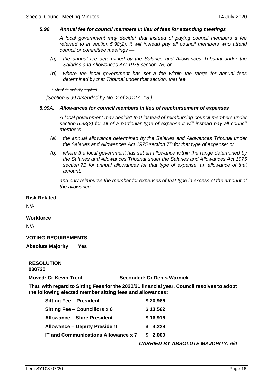#### *5.99. Annual fee for council members in lieu of fees for attending meetings*

*A local government may decide\* that instead of paying council members a fee referred to in section 5.98(1), it will instead pay all council members who attend council or committee meetings —*

- *(a) the annual fee determined by the Salaries and Allowances Tribunal under the Salaries and Allowances Act 1975 section 7B; or*
- *(b) where the local government has set a fee within the range for annual fees determined by that Tribunal under that section, that fee.*

*\* Absolute majority required.*

*[Section 5.99 amended by No. 2 of 2012 s. 16.]*

#### *5.99A. Allowances for council members in lieu of reimbursement of expenses*

*A local government may decide\* that instead of reimbursing council members under section 5.98(2) for all of a particular type of expense it will instead pay all council members —*

- *(a) the annual allowance determined by the Salaries and Allowances Tribunal under the Salaries and Allowances Act 1975 section 7B for that type of expense; or*
- *(b) where the local government has set an allowance within the range determined by the Salaries and Allowances Tribunal under the Salaries and Allowances Act 1975 section 7B for annual allowances for that type of expense, an allowance of that amount,*

and only reimburse the member for expenses of that type in excess of the amount of *the allowance.*

#### **Risk Related**

N/A

#### **Workforce**

N/A

#### **VOTING REQUIREMENTS**

**Absolute Majority: Yes**

| <b>RESOLUTION</b><br>030720                                                                                                                              |                                          |  |
|----------------------------------------------------------------------------------------------------------------------------------------------------------|------------------------------------------|--|
| <b>Moved: Cr Kevin Trent</b>                                                                                                                             | Seconded: Cr Denis Warnick               |  |
| That, with regard to Sitting Fees for the 2020/21 financial year, Council resolves to adopt<br>the following elected member sitting fees and allowances: |                                          |  |
| <b>Sitting Fee - President</b>                                                                                                                           | \$20,986                                 |  |
| Sitting Fee - Councillors x 6                                                                                                                            | \$13,562                                 |  |
| Allowance – Shire President                                                                                                                              | \$16,916                                 |  |
| <b>Allowance – Deputy President</b>                                                                                                                      | \$4,229                                  |  |
| <b>IT and Communications Allowance x 7</b>                                                                                                               | \$2,000                                  |  |
|                                                                                                                                                          | <b>CARRIED BY ABSOLUTE MAJORITY: 6/0</b> |  |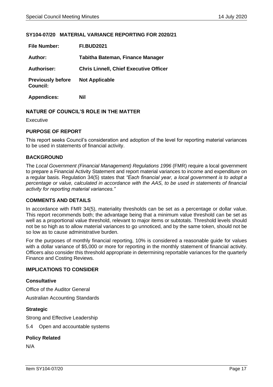#### <span id="page-16-0"></span>**SY104-07/20 MATERIAL VARIANCE REPORTING FOR 2020/21**

| <b>File Number:</b>                         | <b>FI.BUD2021</b>                             |
|---------------------------------------------|-----------------------------------------------|
| Author:                                     | Tabitha Bateman, Finance Manager              |
| <b>Authoriser:</b>                          | <b>Chris Linnell, Chief Executive Officer</b> |
| <b>Previously before</b><br><b>Council:</b> | <b>Not Applicable</b>                         |
| <b>Appendices:</b>                          | Nil                                           |

#### **NATURE OF COUNCIL'S ROLE IN THE MATTER**

Executive

#### **PURPOSE OF REPORT**

This report seeks Council's consideration and adoption of the level for reporting material variances to be used in statements of financial activity.

#### **BACKGROUND**

The *Local Government (Financial Management) Regulations 1996* (FMR) require a local government to prepare a Financial Activity Statement and report material variances to income and expenditure on a regular basis. Regulation 34(5) states that *"Each financial year, a local government is to adopt a percentage or value, calculated in accordance with the AAS, to be used in statements of financial activity for reporting material variances."*

#### **COMMENTS AND DETAILS**

In accordance with FMR 34(5), materiality thresholds can be set as a percentage or dollar value. This report recommends both; the advantage being that a minimum value threshold can be set as well as a proportional value threshold, relevant to major items or subtotals. Threshold levels should not be so high as to allow material variances to go unnoticed, and by the same token, should not be so low as to cause administrative burden.

For the purposes of monthly financial reporting, 10% is considered a reasonable guide for values with a dollar variance of \$5,000 or more for reporting in the monthly statement of financial activity. Officers also consider this threshold appropriate in determining reportable variances for the quarterly Finance and Costing Reviews.

#### **IMPLICATIONS TO CONSIDER**

#### **Consultative**

Office of the Auditor General

Australian Accounting Standards

#### **Strategic**

Strong and Effective Leadership

5.4 Open and accountable systems

#### **Policy Related**

N/A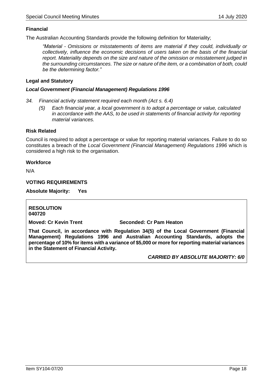#### **Financial**

The Australian Accounting Standards provide the following definition for Materiality;

*"Material - Omissions or misstatements of items are material if they could, individually or collectively, influence the economic decisions of users taken on the basis of the financial report. Materiality depends on the size and nature of the omission or misstatement judged in the surrounding circumstances. The size or nature of the item, or a combination of both, could be the determining factor."*

#### **Legal and Statutory**

#### *Local Government (Financial Management) Regulations 1996*

- *34. Financial activity statement required each month (Act s. 6.4)*
	- *(5) Each financial year, a local government is to adopt a percentage or value, calculated in accordance with the AAS, to be used in statements of financial activity for reporting material variances.*

#### **Risk Related**

Council is required to adopt a percentage or value for reporting material variances. Failure to do so constitutes a breach of the *Local Government (Financial Management) Regulations 1996* which is considered a high risk to the organisation.

#### **Workforce**

N/A

#### **VOTING REQUIREMENTS**

**Absolute Majority: Yes**

#### **RESOLUTION 040720**

#### **Moved: Cr Kevin Trent Seconded: Cr Pam Heaton**

**That Council, in accordance with Regulation 34(5) of the Local Government (Financial Management) Regulations 1996 and Australian Accounting Standards, adopts the percentage of 10% for items with a variance of \$5,000 or more for reporting material variances in the Statement of Financial Activity.**

*CARRIED BY ABSOLUTE MAJORITY: 6/0*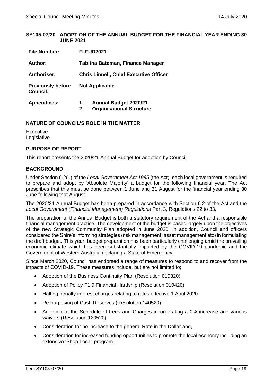#### <span id="page-18-0"></span>**SY105-07/20 ADOPTION OF THE ANNUAL BUDGET FOR THE FINANCIAL YEAR ENDING 30 JUNE 2021**

| <b>File Number:</b>                         | <b>FI.FUD2021</b>                                                           |  |  |
|---------------------------------------------|-----------------------------------------------------------------------------|--|--|
| Author:                                     | <b>Tabitha Bateman, Finance Manager</b>                                     |  |  |
| <b>Authoriser:</b>                          | <b>Chris Linnell, Chief Executive Officer</b>                               |  |  |
| <b>Previously before</b><br><b>Council:</b> | <b>Not Applicable</b>                                                       |  |  |
| <b>Appendices:</b>                          | <b>Annual Budget 2020/21</b><br>1.<br><b>Organisational Structure</b><br>2. |  |  |

#### **NATURE OF COUNCIL'S ROLE IN THE MATTER**

**Executive** Legislative

#### **PURPOSE OF REPORT**

This report presents the 2020/21 Annual Budget for adoption by Council.

#### **BACKGROUND**

Under Section 6.2(1) of the *Local Government Act 1995* (the Act), each local government is required to prepare and adopt by 'Absolute Majority' a budget for the following financial year. The Act prescribes that this must be done between 1 June and 31 August for the financial year ending 30 June following that August.

The 2020/21 Annual Budget has been prepared in accordance with Section 6.2 of the Act and the *Local Government (Financial Management) Regulations* Part 3, Regulations 22 to 33.

The preparation of the Annual Budget is both a statutory requirement of the Act and a responsible financial management practice. The development of the budget is based largely upon the objectives of the new Strategic Community Plan adopted in June 2020. In addition, Council and officers considered the Shire's informing strategies (risk management, asset management etc) in formulating the draft budget. This year, budget preparation has been particularly challenging amid the prevailing economic climate which has been substantially impacted by the COVID-19 pandemic and the Government of Western Australia declaring a State of Emergency.

Since March 2020, Council has endorsed a range of measures to respond to and recover from the impacts of COVID-19. These measures include, but are not limited to;

- Adoption of the Business Continuity Plan (Resolution 010320)
- Adoption of Policy F1.9 Financial Hardship (Resolution 010420)
- Halting penalty interest charges relating to rates effective 1 April 2020
- Re-purposing of Cash Reserves (Resolution 140520)
- Adoption of the Schedule of Fees and Charges incorporating a 0% increase and various waivers (Resolution 120520)
- Consideration for no increase to the general Rate in the Dollar and,
- Consideration for increased funding opportunities to promote the local economy including an extensive 'Shop Local' program.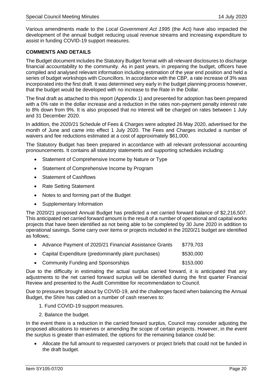Various amendments made to the *Local Government Act 1995* (the Act) have also impacted the development of the annual budget reducing usual revenue streams and increasing expenditure to assist in funding COVID-19 support measures.

#### **COMMENTS AND DETAILS**

The Budget document includes the Statutory Budget format with all relevant disclosures to discharge financial accountability to the community. As in past years, in preparing the budget, officers have compiled and analysed relevant information including estimation of the year end position and held a series of budget workshops with Councillors. In accordance with the CBP, a rate increase of 3% was incorporated into the first draft. It was determined very early in the budget planning process however, that the budget would be developed with no increase to the Rate in the Dollar.

The final draft as attached to this report (Appendix 1) and presented for adoption has been prepared with a 0% rate in the dollar increase and a reduction in the rates non-payment penalty interest rate to 8% down from 9%. It is also proposed that no interest will be charged on rates between 1 July and 31 December 2020.

In addition, the 2020/21 Schedule of Fees & Charges were adopted 26 May 2020, advertised for the month of June and came into effect 1 July 2020. The Fees and Charges included a number of waivers and fee reductions estimated at a cost of approximately \$61,000.

The Statutory Budget has been prepared in accordance with all relevant professional accounting pronouncements. It contains all statutory statements and supporting schedules including:

- Statement of Comprehensive Income by Nature or Type
- Statement of Comprehensive Income by Program
- Statement of Cashflows
- Rate Setting Statement
- Notes to and forming part of the Budget
- Supplementary Information

The 2020/21 proposed Annual Budget has predicted a net carried forward balance of \$2,216,507. This anticipated net carried forward amount is the result of a number of operational and capital works projects that have been identified as not being able to be completed by 30 June 2020 in addition to operational savings. Some carry over items or projects included in the 2020/21 budget are identified as follows;

| • Advance Payment of 2020/21 Financial Assistance Grants | \$779,703 |
|----------------------------------------------------------|-----------|
| • Capital Expenditure (predominantly plant purchases)    | \$530,000 |
| • Community Funding and Sponsorships                     | \$153,000 |

Due to the difficulty in estimating the actual surplus carried forward, it is anticipated that any adjustments to the net carried forward surplus will be identified during the first quarter Financial Review and presented to the Audit Committee for recommendation to Council.

Due to pressures brought about by COVID-19, and the challenges faced when balancing the Annual Budget, the Shire has called on a number of cash reserves to:

- 1. Fund COVID-19 support measures.
- 2. Balance the budget.

In the event there is a reduction in the carried forward surplus, Council may consider adjusting the proposed allocations to reserves or amending the scope of certain projects. However, in the event the surplus is greater than estimated, the options for the remaining balance could be:

• Allocate the full amount to requested carryovers or project briefs that could not be funded in the draft budget.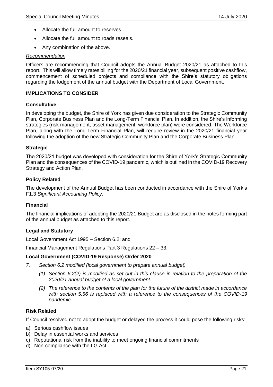- Allocate the full amount to reserves.
- Allocate the full amount to roads reseals.
- Any combination of the above.

#### *Recommendation*

Officers are recommending that Council adopts the Annual Budget 2020/21 as attached to this report. This will allow timely rates billing for the 2020/21 financial year, subsequent positive cashflow, commencement of scheduled projects and compliance with the Shire's statutory obligations regarding the lodgement of the annual budget with the Department of Local Government.

#### **IMPLICATIONS TO CONSIDER**

#### **Consultative**

In developing the budget, the Shire of York has given due consideration to the Strategic Community Plan, Corporate Business Plan and the Long-Term Financial Plan. In addition, the Shire's informing strategies (risk management, asset management, workforce plan) were considered. The Workforce Plan, along with the Long-Term Financial Plan, will require review in the 2020/21 financial year following the adoption of the new Strategic Community Plan and the Corporate Business Plan.

#### **Strategic**

The 2020/21 budget was developed with consideration for the Shire of York's Strategic Community Plan and the consequences of the COVID-19 pandemic, which is outlined in the COVID-19 Recovery Strategy and Action Plan.

#### **Policy Related**

The development of the Annual Budget has been conducted in accordance with the Shire of York's F1.3 *Significant Accounting Policy*.

#### **Financial**

The financial implications of adopting the 2020/21 Budget are as disclosed in the notes forming part of the annual budget as attached to this report.

#### **Legal and Statutory**

Local Government Act 1995 – Section 6.2; and

Financial Management Regulations Part 3 Regulations 22 – 33.

#### **Local Government (COVID-19 Response) Order 2020**

- *7. Section 6.2 modified (local government to prepare annual budget)*
	- *(1) Section 6.2(2) is modified as set out in this clause in relation to the preparation of the 2020/21 annual budget of a local government.*
	- *(2) The reference to the contents of the plan for the future of the district made in accordance with section 5.56 is replaced with a reference to the consequences of the COVID-19 pandemic.*

#### **Risk Related**

If Council resolved not to adopt the budget or delayed the process it could pose the following risks:

- a) Serious cashflow issues
- b) Delay in essential works and services
- c) Reputational risk from the inability to meet ongoing financial commitments
- d) Non-compliance with the LG Act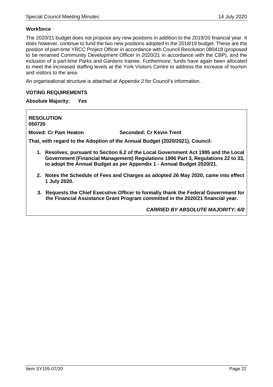#### **Workforce**

The 2020/21 budget does not propose any new positions in addition to the 2019/20 financial year. It does however, continue to fund the two new positions adopted in the 2018/19 budget. These are the position of part-time YRCC Project Officer in accordance with Council Resolution 080418 (proposed to be renamed Community Development Officer in 2020/21 in accordance with the CBP), and the inclusion of a part-time Parks and Gardens trainee. Furthermore, funds have again been allocated to meet the increased staffing levels at the York Visitors Centre to address the increase of tourism and visitors to the area.

An organisational structure is attached at Appendix 2 for Council's information.

#### **VOTING REQUIREMENTS**

**Absolute Majority: Yes**

**RESOLUTION 050720**

**Moved: Cr Pam Heaton Seconded: Cr Kevin Trent**

**That, with regard to the Adoption of the Annual Budget (2020/2021), Council:**

- **1. Resolves, pursuant to Section 6.2 of the Local Government Act 1995 and the Local Government (Financial Management) Regulations 1996 Part 3, Regulations 22 to 33, to adopt the Annual Budget as per Appendix 1 - Annual Budget 2020/21.**
- **2. Notes the Schedule of Fees and Charges as adopted 26 May 2020, came into effect 1 July 2020.**
- **3. Requests the Chief Executive Officer to formally thank the Federal Government for the Financial Assistance Grant Program committed in the 2020/21 financial year.**

*CARRIED BY ABSOLUTE MAJORITY: 6/0*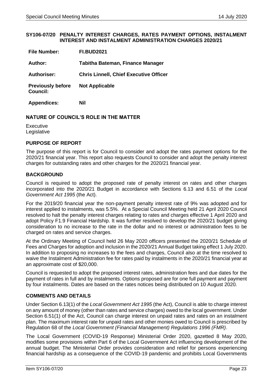#### <span id="page-22-0"></span>**SY106-07/20 PENALTY INTEREST CHARGES, RATES PAYMENT OPTIONS, INSTALMENT INTEREST AND INSTALMENT ADMINISTRATION CHARGES 2020/21**

| <b>File Number:</b>                         | <b>FI.BUD2021</b>                             |
|---------------------------------------------|-----------------------------------------------|
| Author:                                     | Tabitha Bateman, Finance Manager              |
| <b>Authoriser:</b>                          | <b>Chris Linnell, Chief Executive Officer</b> |
| <b>Previously before</b><br><b>Council:</b> | <b>Not Applicable</b>                         |
| <b>Appendices:</b>                          | Nil                                           |

#### **NATURE OF COUNCIL'S ROLE IN THE MATTER**

**Executive** Legislative

#### **PURPOSE OF REPORT**

The purpose of this report is for Council to consider and adopt the rates payment options for the 2020/21 financial year. This report also requests Council to consider and adopt the penalty interest charges for outstanding rates and other charges for the 2020/21 financial year.

#### **BACKGROUND**

Council is required to adopt the proposed rate of penalty interest on rates and other charges incorporated into the 2020/21 Budget in accordance with Sections 6.13 and 6.51 of the *Local Government Act 1995* (the Act).

For the 2019/20 financial year the non-payment penalty interest rate of 9% was adopted and for interest applied to instalments, was 5.5%. At a Special Council Meeting held 21 April 2020 Council resolved to halt the penalty interest charges relating to rates and charges effective 1 April 2020 and adopt Policy F1.9 Financial Hardship. It was further resolved to develop the 2020/21 budget giving consideration to no increase to the rate in the dollar and no interest or administration fees to be charged on rates and service charges.

At the Ordinary Meeting of Council held 26 May 2020 officers presented the 2020/21 Schedule of Fees and Charges for adoption and inclusion in the 2020/21 Annual Budget taking effect 1 July 2020. In addition to proposing no increases to the fees and charges, Council also at the time resolved to waive the Instalment Administration fee for rates paid by instalments in the 2020/21 financial year at an approximate cost of \$20,000.

Council is requested to adopt the proposed interest rates, administration fees and due dates for the payment of rates in full and by instalments. Options proposed are for one full payment and payment by four instalments. Dates are based on the rates notices being distributed on 10 August 2020.

#### **COMMENTS AND DETAILS**

Under Section 6.13(1) of the *Local Government Act 1995* (the Act), Council is able to charge interest on any amount of money (other than rates and service charges) owed to the local government. Under Section 6.51(1) of the Act, Council can charge interest on unpaid rates and rates on an instalment plan. The maximum interest rate for unpaid rates and other monies owed to Council is prescribed by Regulation 68 of the *Local Government (Financial Management) Regulations 1996 (FMR)*.

The Local Government (COVID-19 Response) Ministerial Order 2020, gazetted 8 May 2020, modifies some provisions within Part 6 of the Local Government Act influencing development of the annual budget. The Ministerial Order provides consideration and relief for persons experiencing financial hardship as a consequence of the COVID-19 pandemic and prohibits Local Governments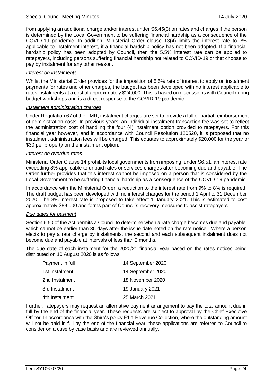from applying an additional charge and/or interest under S6.45(3) on rates and charges if the person is determined by the Local Government to be suffering financial hardship as a consequence of the COVID-19 pandemic. In addition, Ministerial Order clause 13(4) limits the interest rate to 3% applicable to instalment interest, if a financial hardship policy has not been adopted. If a financial hardship policy has been adopted by Council, then the 5.5% interest rate can be applied to ratepayers, including persons suffering financial hardship not related to COVID-19 or that choose to pay by instalment for any other reason.

#### *Interest on instalments*

Whilst the Ministerial Order provides for the imposition of 5.5% rate of interest to apply on instalment payments for rates and other charges, the budget has been developed with no interest applicable to rates instalments at a cost of approximately \$24,000. This is based on discussions with Council during budget workshops and is a direct response to the COVID-19 pandemic.

#### *Instalment administration charges*

Under Regulation 67 of the FMR, instalment charges are set to provide a full or partial reimbursement of administration costs. In previous years, an individual instalment transaction fee was set to reflect the administration cost of handling the four (4) instalment option provided to ratepayers. For this financial year however, and in accordance with Council Resolution 120520, it is proposed that no instalment administration fees will be charged. This equates to approximately \$20,000 for the year or \$30 per property on the instalment option.

#### *Interest on overdue rates*

Ministerial Order Clause 14 prohibits local governments from imposing, under S6.51, an interest rate exceeding 8% applicable to unpaid rates or services charges after becoming due and payable. The Order further provides that this interest cannot be imposed on a person that is considered by the Local Government to be suffering financial hardship as a consequence of the COVID-19 pandemic.

In accordance with the Ministerial Order, a reduction to the interest rate from 9% to 8% is required. The draft budget has been developed with no interest charges for the period 1 April to 31 December 2020. The 8% interest rate is proposed to take effect 1 January 2021. This is estimated to cost approximately \$88,000 and forms part of Council's recovery measures to assist ratepayers.

#### *Due dates for payment*

Section 6.50 of the Act permits a Council to determine when a rate charge becomes due and payable, which cannot be earlier than 35 days after the issue date noted on the rate notice. Where a person elects to pay a rate charge by instalments, the second and each subsequent instalment does not become due and payable at intervals of less than 2 months.

The due date of each instalment for the 2020/21 financial year based on the rates notices being distributed on 10 August 2020 is as follows:

| Payment in full | 14 September 2020 |
|-----------------|-------------------|
| 1st Instalment  | 14 September 2020 |
| 2nd Instalment  | 18 November 2020  |
| 3rd Instalment  | 19 January 2021   |
| 4th Instalment  | 25 March 2021     |

Further, ratepayers may request an alternative payment arrangement to pay the total amount due in full by the end of the financial year. These requests are subject to approval by the Chief Executive Officer. In accordance with the Shire's policy F1.1 Revenue Collection, where the outstanding amount will not be paid in full by the end of the financial year, these applications are referred to Council to consider on a case by case basis and are reviewed annually.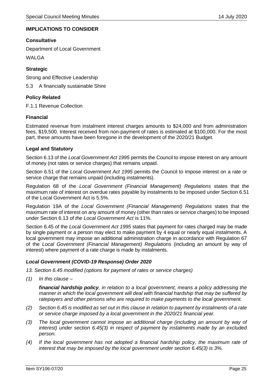#### **IMPLICATIONS TO CONSIDER**

#### **Consultative**

Department of Local Government

WALGA

#### **Strategic**

Strong and Effective Leadership

5.3 A financially sustainable Shire

#### **Policy Related**

F.1.1 Revenue Collection

#### **Financial**

Estimated revenue from instalment interest charges amounts to \$24,000 and from administration fees, \$19,500. Interest received from non-payment of rates is estimated at \$100,000. For the most part, these amounts have been foregone in the development of the 2020/21 Budget.

#### **Legal and Statutory**

Section 6.13 of the *Local Government Act 1995* permits the Council to impose interest on any amount of money (not rates or service charges) that remains unpaid.

Section 6.51 of the *Local Government Act 1995* permits the Council to impose interest on a rate or service charge that remains unpaid (including instalments).

Regulation 68 of the *Local Government (Financial Management) Regulations* states that the maximum rate of interest on overdue rates payable by instalments to be imposed under Section 6.51 of the Local Government Act is 5.5%.

Regulation 19A of the *Local Government (Financial Management) Regulations* states that the maximum rate of interest on any amount of money (other than rates or service charges) to be imposed under Section 6.13 of *the Local Government Act* is 11%.

Section 6.45 of the *Local Government Act 1995* states that payment for rates charged may be made by single payment or a person may elect to make payment by 4 equal or nearly equal instalments. A local government may impose an additional administration charge in accordance with Regulation 67 of the *Local Government (Financial Management) Regulations* (including an amount by way of interest) where payment of a rate charge is made by instalments.

#### *Local Government (COVID-19 Response) Order 2020*

*13. Section 6.45 modified (options for payment of rates or service charges)* 

*(1) In this clause –*

*financial hardship policy, in relation to a local government, means a policy addressing the manner in which the local government will deal with financial hardship that may be suffered by ratepayers and other persons who are required to make payments to the local government.*

- *(2) Section 6.45 is modified as set out in this clause in relation to payment by instalments of a rate or service charge imposed by a local government in the 2020/21 financial year.*
- *(3) The local government cannot impose an additional charge (including an amount by way of interest) under section 6.45(3) in respect of payment by instalments made by an excluded person.*
- *(4) If the local government has not adopted a financial hardship policy, the maximum rate of interest that may be imposed by the local government under section 6.45(3) is 3%.*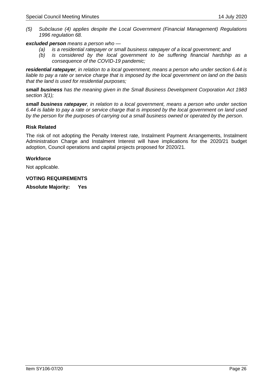*(5) Subclause (4) applies despite the Local Government (Financial Management) Regulations 1996 regulation 68.*

#### *excluded person means a person who —*

- *(a) is a residential ratepayer or small business ratepayer of a local government; and*
- *(b) is considered by the local government to be suffering financial hardship as a consequence of the COVID-19 pandemic;*

*residential ratepayer, in relation to a local government, means a person who under section 6.44 is liable to pay a rate or service charge that is imposed by the local government on land on the basis that the land is used for residential purposes;*

*small business has the meaning given in the Small Business Development Corporation Act 1983 section 3(1);* 

*small business ratepayer, in relation to a local government, means a person who under section 6.44 is liable to pay a rate or service charge that is imposed by the local government on land used by the person for the purposes of carrying out a small business owned or operated by the person*.

#### **Risk Related**

The risk of not adopting the Penalty Interest rate, Instalment Payment Arrangements, Instalment Administration Charge and Instalment Interest will have implications for the 2020/21 budget adoption, Council operations and capital projects proposed for 2020/21.

#### **Workforce**

Not applicable.

#### **VOTING REQUIREMENTS**

**Absolute Majority: Yes**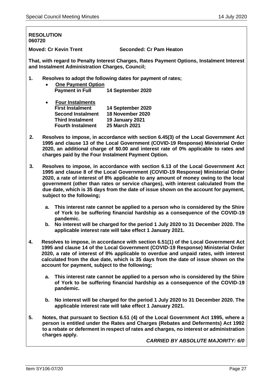### **RESOLUTION 060720 Moved: Cr Kevin Trent Seconded: Cr Pam Heaton**

**That, with regard to Penalty Interest Charges, Rates Payment Options, Instalment Interest and Instalment Administration Charges, Council;**

**1. Resolves to adopt the following dates for payment of rates;**

| <b>One Payment Option</b> |                   |
|---------------------------|-------------------|
| <b>Payment in Full</b>    | 14 September 2020 |

| <b>Four Instalments</b>  |                        |
|--------------------------|------------------------|
| <b>First Instalment</b>  | 14 September 2020      |
| <b>Second Instalment</b> | 18 November 2020       |
| <b>Third Instalment</b>  | <b>19 January 2021</b> |
| <b>Fourth Instalment</b> | 25 March 2021          |

- **2. Resolves to impose, in accordance with section 6.45(3) of the Local Government Act 1995 and clause 13 of the Local Government (COVID-19 Response) Ministerial Order 2020, an additional charge of \$0.00 and interest rate of 0% applicable to rates and charges paid by the Four Instalment Payment Option.**
- **3. Resolves to impose, in accordance with section 6.13 of the Local Government Act 1995 and clause 8 of the Local Government (COVID-19 Response) Ministerial Order 2020, a rate of interest of 8% applicable to any amount of money owing to the local government (other than rates or service charges), with interest calculated from the due date, which is 35 days from the date of issue shown on the account for payment, subject to the following;**
	- **a. This interest rate cannot be applied to a person who is considered by the Shire of York to be suffering financial hardship as a consequence of the COVID-19 pandemic.**
	- **b. No interest will be charged for the period 1 July 2020 to 31 December 2020. The applicable interest rate will take effect 1 January 2021.**
- **4. Resolves to impose, in accordance with section 6.51(1) of the Local Government Act 1995 and clause 14 of the Local Government (COVID-19 Response) Ministerial Order 2020, a rate of interest of 8% applicable to overdue and unpaid rates, with interest calculated from the due date, which is 35 days from the date of issue shown on the account for payment, subject to the following;**
	- **a. This interest rate cannot be applied to a person who is considered by the Shire of York to be suffering financial hardship as a consequence of the COVID-19 pandemic.**
	- **b. No interest will be charged for the period 1 July 2020 to 31 December 2020. The applicable interest rate will take effect 1 January 2021.**
- **5. Notes, that pursuant to Section 6.51 (4) of the Local Government Act 1995, where a person is entitled under the Rates and Charges (Rebates and Deferments) Act 1992 to a rebate or deferment in respect of rates and charges, no interest or administration charges apply.**

*CARRIED BY ABSOLUTE MAJORITY: 6/0*